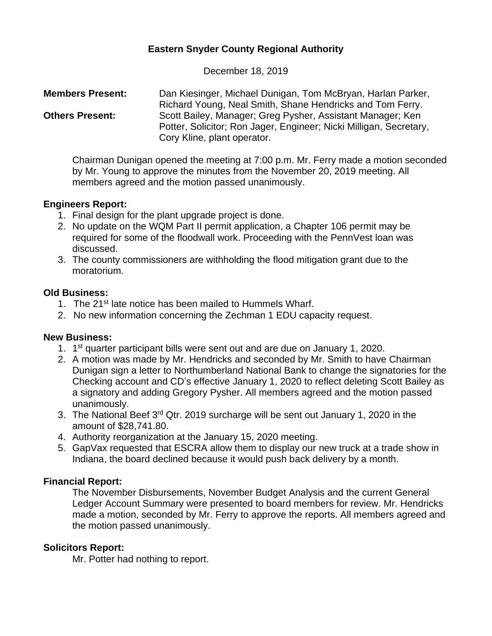# **Eastern Snyder County Regional Authority**

December 18, 2019

**Members Present:** Dan Kiesinger, Michael Dunigan, Tom McBryan, Harlan Parker, Richard Young, Neal Smith, Shane Hendricks and Tom Ferry. **Others Present:** Scott Bailey, Manager; Greg Pysher, Assistant Manager; Ken Potter, Solicitor; Ron Jager, Engineer; Nicki Milligan, Secretary, Cory Kline, plant operator.

Chairman Dunigan opened the meeting at 7:00 p.m. Mr. Ferry made a motion seconded by Mr. Young to approve the minutes from the November 20, 2019 meeting. All members agreed and the motion passed unanimously.

## **Engineers Report:**

- 1. Final design for the plant upgrade project is done.
- 2. No update on the WQM Part II permit application, a Chapter 106 permit may be required for some of the floodwall work. Proceeding with the PennVest loan was discussed.
- 3. The county commissioners are withholding the flood mitigation grant due to the moratorium.

#### **Old Business:**

- 1. The 21<sup>st</sup> late notice has been mailed to Hummels Wharf.
- 2. No new information concerning the Zechman 1 EDU capacity request.

## **New Business:**

- 1. 1<sup>st</sup> quarter participant bills were sent out and are due on January 1, 2020.
- 2. A motion was made by Mr. Hendricks and seconded by Mr. Smith to have Chairman Dunigan sign a letter to Northumberland National Bank to change the signatories for the Checking account and CD's effective January 1, 2020 to reflect deleting Scott Bailey as a signatory and adding Gregory Pysher. All members agreed and the motion passed unanimously.
- 3. The National Beef 3<sup>rd</sup> Qtr. 2019 surcharge will be sent out January 1, 2020 in the amount of \$28,741.80.
- 4. Authority reorganization at the January 15, 2020 meeting.
- 5. GapVax requested that ESCRA allow them to display our new truck at a trade show in Indiana, the board declined because it would push back delivery by a month.

## **Financial Report:**

The November Disbursements, November Budget Analysis and the current General Ledger Account Summary were presented to board members for review. Mr. Hendricks made a motion, seconded by Mr. Ferry to approve the reports. All members agreed and the motion passed unanimously.

## **Solicitors Report:**

Mr. Potter had nothing to report.